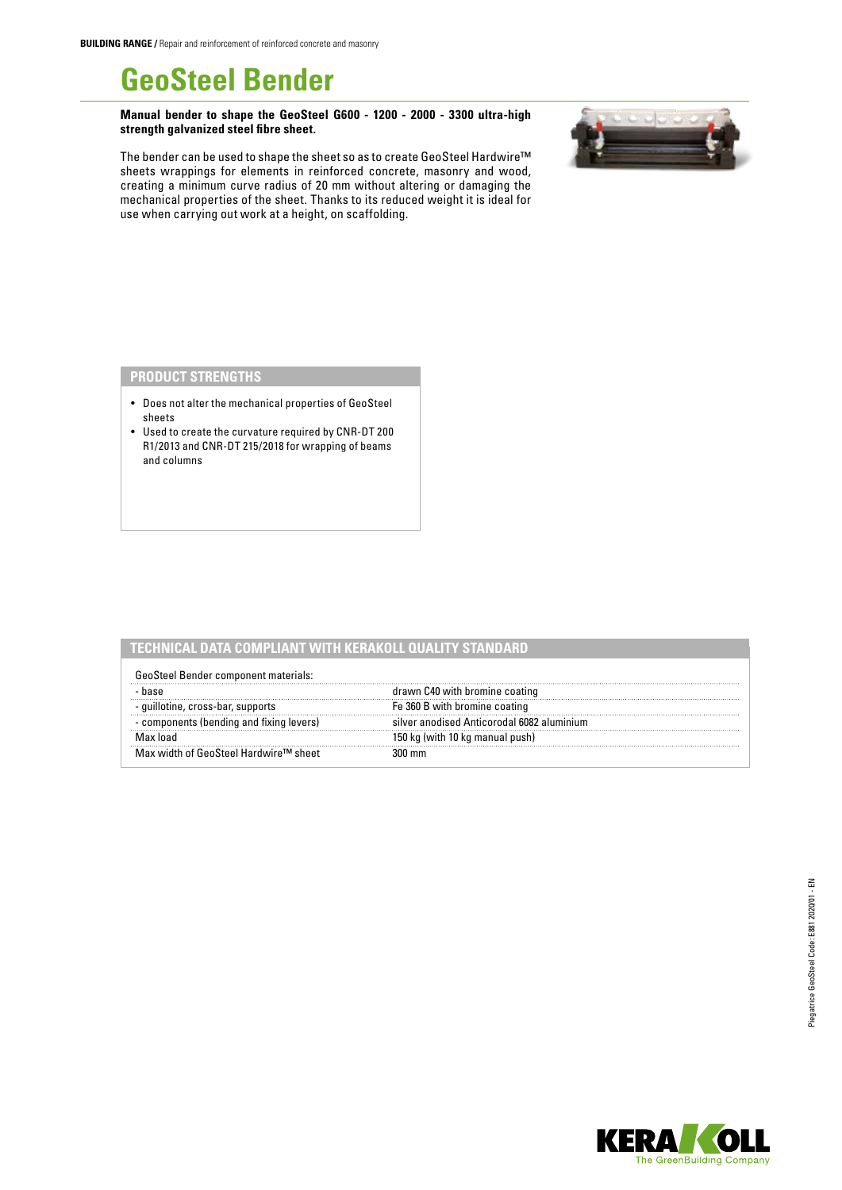# **GeoSteel Bender**

**Manual bender to shape the GeoSteel G600 - 1200 - 2000 - 3300 ultra-high strength galvanized steel fibre sheet.**



The bender can be used to shape the sheet so as to create GeoSteel Hardwire™ sheets wrappings for elements in reinforced concrete, masonry and wood, creating a minimum curve radius of 20 mm without altering or damaging the mechanical properties of the sheet. Thanks to its reduced weight it is ideal for use when carrying out work at a height, on scaffolding.

## **PRODUCT STRENGTHS**

- Does not alter the mechanical properties of GeoSteel sheets
- Used to create the curvature required by CNR-DT 200 R1/2013 and CNR-DT 215/2018 for wrapping of beams and columns

|                                          | <u>FCHNICAL DATA COMPLIANT WITH KERAKOLL OUALITY STANDA</u> |  |
|------------------------------------------|-------------------------------------------------------------|--|
| GeoSteel Bender component materials:     |                                                             |  |
|                                          | drawn C40 with bromine coating                              |  |
| - guillotine, cross-bar, supports        | Fe 360 B with bromine coating                               |  |
| - components (bending and fixing levers) | silver anodised Anticorodal 6082 aluminium                  |  |
|                                          | 150 kg (with 10 kg manual push)                             |  |
| Max width of GeoSteel Hardwire™ sheet    |                                                             |  |